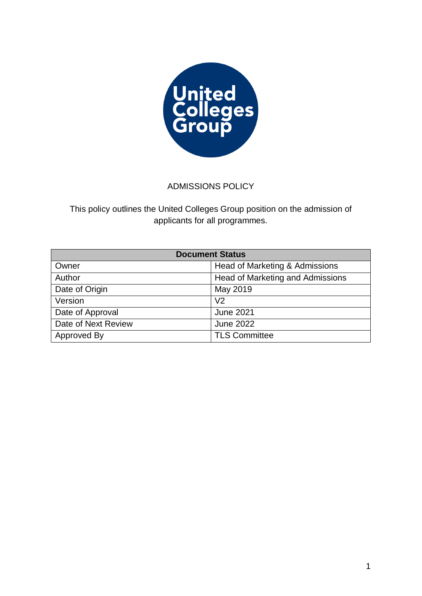

# ADMISSIONS POLICY

This policy outlines the United Colleges Group position on the admission of applicants for all programmes.

| <b>Document Status</b> |                                  |
|------------------------|----------------------------------|
| Owner                  | Head of Marketing & Admissions   |
| Author                 | Head of Marketing and Admissions |
| Date of Origin         | May 2019                         |
| Version                | V <sub>2</sub>                   |
| Date of Approval       | <b>June 2021</b>                 |
| Date of Next Review    | <b>June 2022</b>                 |
| Approved By            | <b>TLS Committee</b>             |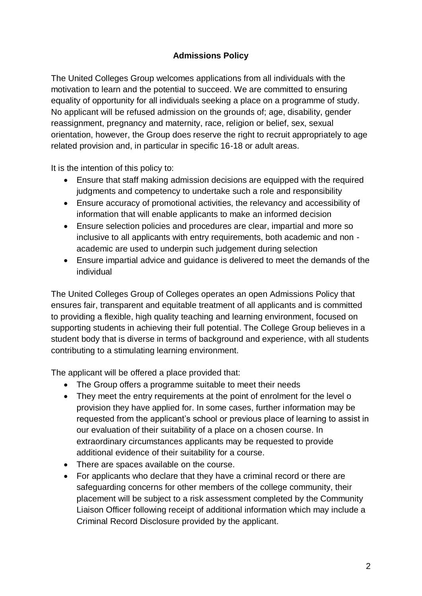# **Admissions Policy**

The United Colleges Group welcomes applications from all individuals with the motivation to learn and the potential to succeed. We are committed to ensuring equality of opportunity for all individuals seeking a place on a programme of study. No applicant will be refused admission on the grounds of; age, disability, gender reassignment, pregnancy and maternity, race, religion or belief, sex, sexual orientation, however, the Group does reserve the right to recruit appropriately to age related provision and, in particular in specific 16-18 or adult areas.

It is the intention of this policy to:

- Ensure that staff making admission decisions are equipped with the required judgments and competency to undertake such a role and responsibility
- Ensure accuracy of promotional activities, the relevancy and accessibility of information that will enable applicants to make an informed decision
- Ensure selection policies and procedures are clear, impartial and more so inclusive to all applicants with entry requirements, both academic and non academic are used to underpin such judgement during selection
- Ensure impartial advice and guidance is delivered to meet the demands of the individual

The United Colleges Group of Colleges operates an open Admissions Policy that ensures fair, transparent and equitable treatment of all applicants and is committed to providing a flexible, high quality teaching and learning environment, focused on supporting students in achieving their full potential. The College Group believes in a student body that is diverse in terms of background and experience, with all students contributing to a stimulating learning environment.

The applicant will be offered a place provided that:

- The Group offers a programme suitable to meet their needs
- They meet the entry requirements at the point of enrolment for the level o provision they have applied for. In some cases, further information may be requested from the applicant's school or previous place of learning to assist in our evaluation of their suitability of a place on a chosen course. In extraordinary circumstances applicants may be requested to provide additional evidence of their suitability for a course.
- There are spaces available on the course.
- For applicants who declare that they have a criminal record or there are safeguarding concerns for other members of the college community, their placement will be subject to a risk assessment completed by the Community Liaison Officer following receipt of additional information which may include a Criminal Record Disclosure provided by the applicant.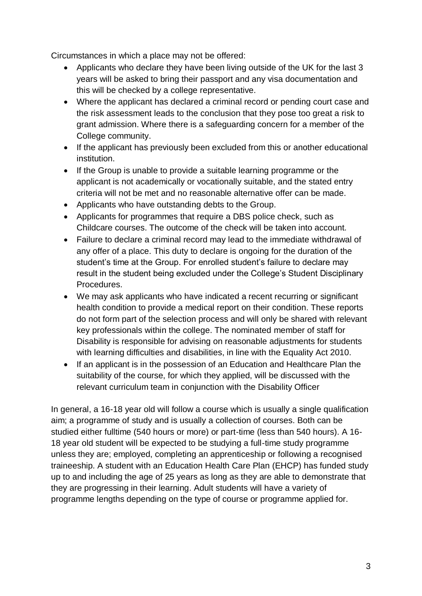Circumstances in which a place may not be offered:

- Applicants who declare they have been living outside of the UK for the last 3 years will be asked to bring their passport and any visa documentation and this will be checked by a college representative.
- Where the applicant has declared a criminal record or pending court case and the risk assessment leads to the conclusion that they pose too great a risk to grant admission. Where there is a safeguarding concern for a member of the College community.
- If the applicant has previously been excluded from this or another educational institution.
- If the Group is unable to provide a suitable learning programme or the applicant is not academically or vocationally suitable, and the stated entry criteria will not be met and no reasonable alternative offer can be made.
- Applicants who have outstanding debts to the Group.
- Applicants for programmes that require a DBS police check, such as Childcare courses. The outcome of the check will be taken into account.
- Failure to declare a criminal record may lead to the immediate withdrawal of any offer of a place. This duty to declare is ongoing for the duration of the student's time at the Group. For enrolled student's failure to declare may result in the student being excluded under the College's Student Disciplinary Procedures.
- We may ask applicants who have indicated a recent recurring or significant health condition to provide a medical report on their condition. These reports do not form part of the selection process and will only be shared with relevant key professionals within the college. The nominated member of staff for Disability is responsible for advising on reasonable adjustments for students with learning difficulties and disabilities, in line with the Equality Act 2010.
- If an applicant is in the possession of an Education and Healthcare Plan the suitability of the course, for which they applied, will be discussed with the relevant curriculum team in conjunction with the Disability Officer

In general, a 16-18 year old will follow a course which is usually a single qualification aim; a programme of study and is usually a collection of courses. Both can be studied either fulltime (540 hours or more) or part-time (less than 540 hours). A 16- 18 year old student will be expected to be studying a full-time study programme unless they are; employed, completing an apprenticeship or following a recognised traineeship. A student with an Education Health Care Plan (EHCP) has funded study up to and including the age of 25 years as long as they are able to demonstrate that they are progressing in their learning. Adult students will have a variety of programme lengths depending on the type of course or programme applied for.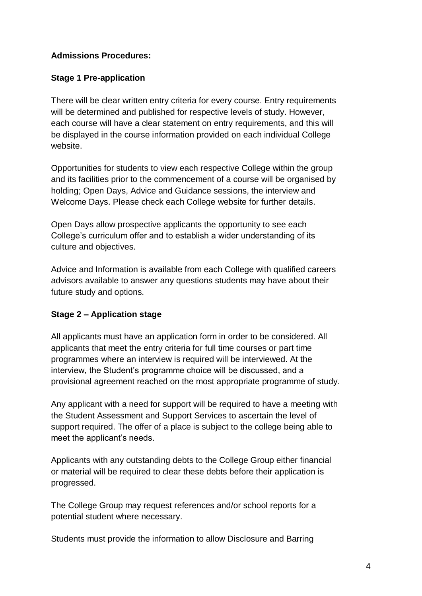## **Admissions Procedures:**

## **Stage 1 Pre-application**

There will be clear written entry criteria for every course. Entry requirements will be determined and published for respective levels of study. However, each course will have a clear statement on entry requirements, and this will be displayed in the course information provided on each individual College website.

Opportunities for students to view each respective College within the group and its facilities prior to the commencement of a course will be organised by holding; Open Days, Advice and Guidance sessions, the interview and Welcome Days. Please check each College website for further details.

Open Days allow prospective applicants the opportunity to see each College's curriculum offer and to establish a wider understanding of its culture and objectives.

Advice and Information is available from each College with qualified careers advisors available to answer any questions students may have about their future study and options.

### **Stage 2 – Application stage**

All applicants must have an application form in order to be considered. All applicants that meet the entry criteria for full time courses or part time programmes where an interview is required will be interviewed. At the interview, the Student's programme choice will be discussed, and a provisional agreement reached on the most appropriate programme of study.

Any applicant with a need for support will be required to have a meeting with the Student Assessment and Support Services to ascertain the level of support required. The offer of a place is subject to the college being able to meet the applicant's needs.

Applicants with any outstanding debts to the College Group either financial or material will be required to clear these debts before their application is progressed.

The College Group may request references and/or school reports for a potential student where necessary.

Students must provide the information to allow Disclosure and Barring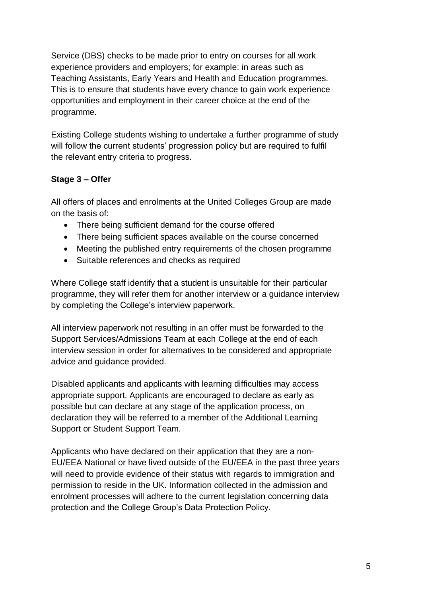Service (DBS) checks to be made prior to entry on courses for all work experience providers and employers; for example: in areas such as Teaching Assistants, Early Years and Health and Education programmes. This is to ensure that students have every chance to gain work experience opportunities and employment in their career choice at the end of the programme.

Existing College students wishing to undertake a further programme of study will follow the current students' progression policy but are required to fulfil the relevant entry criteria to progress.

# **Stage 3 – Offer**

All offers of places and enrolments at the United Colleges Group are made on the basis of:

- There being sufficient demand for the course offered
- There being sufficient spaces available on the course concerned
- Meeting the published entry requirements of the chosen programme
- Suitable references and checks as required

Where College staff identify that a student is unsuitable for their particular programme, they will refer them for another interview or a guidance interview by completing the College's interview paperwork.

All interview paperwork not resulting in an offer must be forwarded to the Support Services/Admissions Team at each College at the end of each interview session in order for alternatives to be considered and appropriate advice and guidance provided.

Disabled applicants and applicants with learning difficulties may access appropriate support. Applicants are encouraged to declare as early as possible but can declare at any stage of the application process, on declaration they will be referred to a member of the Additional Learning Support or Student Support Team.

Applicants who have declared on their application that they are a non-EU/EEA National or have lived outside of the EU/EEA in the past three years will need to provide evidence of their status with regards to immigration and permission to reside in the UK. Information collected in the admission and enrolment processes will adhere to the current legislation concerning data protection and the College Group's Data Protection Policy.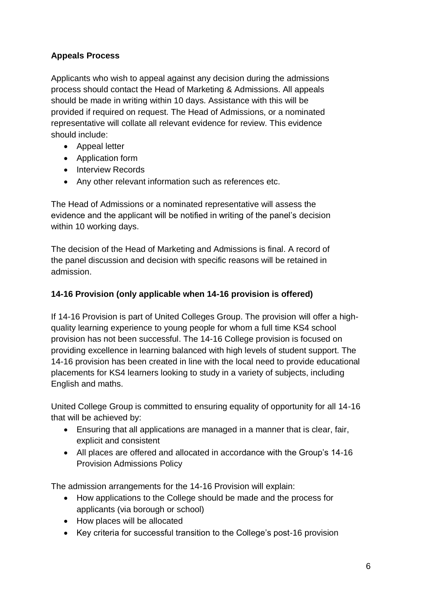# **Appeals Process**

Applicants who wish to appeal against any decision during the admissions process should contact the Head of Marketing & Admissions. All appeals should be made in writing within 10 days. Assistance with this will be provided if required on request. The Head of Admissions, or a nominated representative will collate all relevant evidence for review. This evidence should include:

- Appeal letter
- Application form
- Interview Records
- Any other relevant information such as references etc.

The Head of Admissions or a nominated representative will assess the evidence and the applicant will be notified in writing of the panel's decision within 10 working days.

The decision of the Head of Marketing and Admissions is final. A record of the panel discussion and decision with specific reasons will be retained in admission.

## **14-16 Provision (only applicable when 14-16 provision is offered)**

If 14-16 Provision is part of United Colleges Group. The provision will offer a highquality learning experience to young people for whom a full time KS4 school provision has not been successful. The 14-16 College provision is focused on providing excellence in learning balanced with high levels of student support. The 14-16 provision has been created in line with the local need to provide educational placements for KS4 learners looking to study in a variety of subjects, including English and maths.

United College Group is committed to ensuring equality of opportunity for all 14-16 that will be achieved by:

- Ensuring that all applications are managed in a manner that is clear, fair, explicit and consistent
- All places are offered and allocated in accordance with the Group's 14-16 Provision Admissions Policy

The admission arrangements for the 14-16 Provision will explain:

- How applications to the College should be made and the process for applicants (via borough or school)
- How places will be allocated
- Key criteria for successful transition to the College's post-16 provision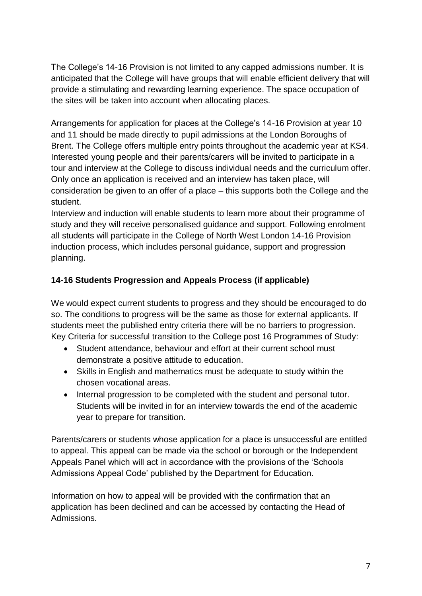The College's 14-16 Provision is not limited to any capped admissions number. It is anticipated that the College will have groups that will enable efficient delivery that will provide a stimulating and rewarding learning experience. The space occupation of the sites will be taken into account when allocating places.

Arrangements for application for places at the College's 14-16 Provision at year 10 and 11 should be made directly to pupil admissions at the London Boroughs of Brent. The College offers multiple entry points throughout the academic year at KS4. Interested young people and their parents/carers will be invited to participate in a tour and interview at the College to discuss individual needs and the curriculum offer. Only once an application is received and an interview has taken place, will consideration be given to an offer of a place – this supports both the College and the student.

Interview and induction will enable students to learn more about their programme of study and they will receive personalised guidance and support. Following enrolment all students will participate in the College of North West London 14-16 Provision induction process, which includes personal guidance, support and progression planning.

# **14-16 Students Progression and Appeals Process (if applicable)**

We would expect current students to progress and they should be encouraged to do so. The conditions to progress will be the same as those for external applicants. If students meet the published entry criteria there will be no barriers to progression. Key Criteria for successful transition to the College post 16 Programmes of Study:

- Student attendance, behaviour and effort at their current school must demonstrate a positive attitude to education.
- Skills in English and mathematics must be adequate to study within the chosen vocational areas.
- Internal progression to be completed with the student and personal tutor. Students will be invited in for an interview towards the end of the academic year to prepare for transition.

Parents/carers or students whose application for a place is unsuccessful are entitled to appeal. This appeal can be made via the school or borough or the Independent Appeals Panel which will act in accordance with the provisions of the 'Schools Admissions Appeal Code' published by the Department for Education.

Information on how to appeal will be provided with the confirmation that an application has been declined and can be accessed by contacting the Head of Admissions.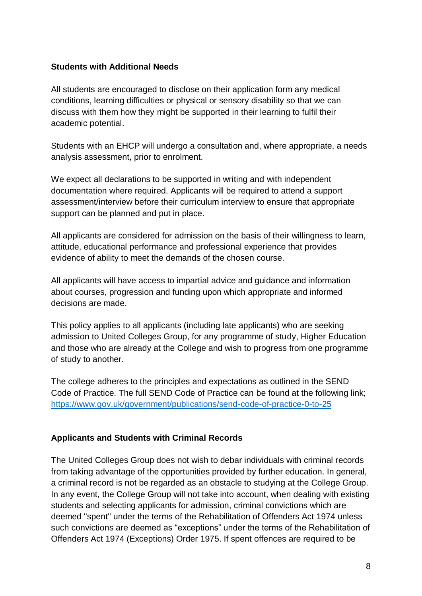#### **Students with Additional Needs**

All students are encouraged to disclose on their application form any medical conditions, learning difficulties or physical or sensory disability so that we can discuss with them how they might be supported in their learning to fulfil their academic potential.

Students with an EHCP will undergo a consultation and, where appropriate, a needs analysis assessment, prior to enrolment.

We expect all declarations to be supported in writing and with independent documentation where required. Applicants will be required to attend a support assessment/interview before their curriculum interview to ensure that appropriate support can be planned and put in place.

All applicants are considered for admission on the basis of their willingness to learn, attitude, educational performance and professional experience that provides evidence of ability to meet the demands of the chosen course.

All applicants will have access to impartial advice and guidance and information about courses, progression and funding upon which appropriate and informed decisions are made.

This policy applies to all applicants (including late applicants) who are seeking admission to United Colleges Group, for any programme of study, Higher Education and those who are already at the College and wish to progress from one programme of study to another.

The college adheres to the principles and expectations as outlined in the SEND Code of Practice. The full SEND Code of Practice can be found at the following link; <https://www.gov.uk/government/publications/send-code-of-practice-0-to-25>

### **Applicants and Students with Criminal Records**

The United Colleges Group does not wish to debar individuals with criminal records from taking advantage of the opportunities provided by further education. In general, a criminal record is not be regarded as an obstacle to studying at the College Group. In any event, the College Group will not take into account, when dealing with existing students and selecting applicants for admission, criminal convictions which are deemed "spent" under the terms of the Rehabilitation of Offenders Act 1974 unless such convictions are deemed as "exceptions" under the terms of the Rehabilitation of Offenders Act 1974 (Exceptions) Order 1975. If spent offences are required to be